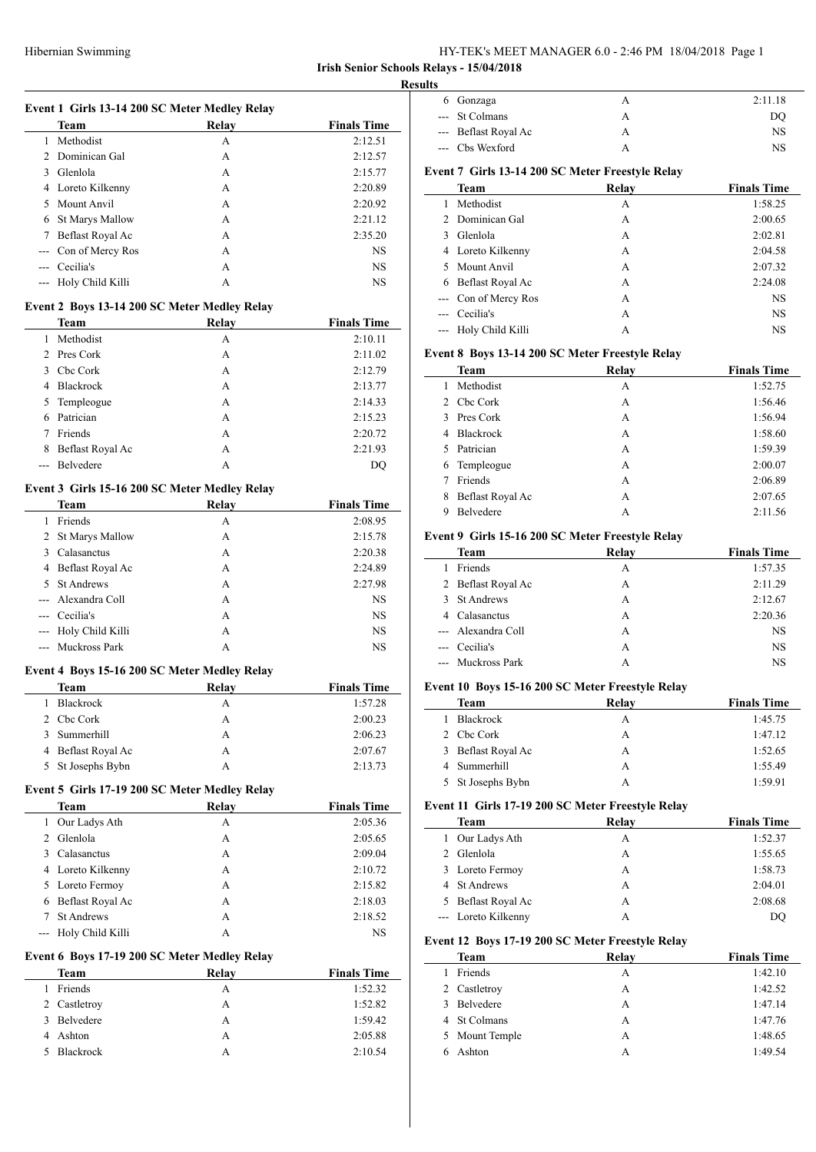# HY-TEK's MEET MANAGER 6.0 - 2:46 PM 18/04/2018 Page 1

# **Irish Senior Schools Relays - 15/04/2018**

|                | Event 1 Girls 13-14 200 SC Meter Medley Relay                |              |                    |
|----------------|--------------------------------------------------------------|--------------|--------------------|
|                | Team                                                         | Relay        | <b>Finals Time</b> |
|                | 1 Methodist                                                  | A            | 2:12.51            |
|                | 2 Dominican Gal                                              | A            | 2:12.57            |
|                | 3 Glenlola                                                   | A            | 2:15.77            |
|                | 4 Loreto Kilkenny                                            | A            | 2:20.89            |
|                | 5 Mount Anvil                                                | A            | 2:20.92            |
|                | 6 St Marys Mallow                                            | A            | 2:21.12            |
|                |                                                              |              |                    |
| 7              | Beflast Royal Ac                                             | A            | 2:35.20            |
|                | --- Con of Mercy Ros                                         | A            | NS                 |
|                | --- Cecilia's                                                | A            | NS                 |
|                | --- Holy Child Killi                                         | A            | NS                 |
|                | Event 2 Boys 13-14 200 SC Meter Medley Relay                 |              |                    |
|                | Team                                                         | Relay        | <b>Finals Time</b> |
|                | 1 Methodist                                                  | A            | 2:10.11            |
|                | 2 Pres Cork                                                  | A            | 2:11.02            |
|                | 3 Cbc Cork                                                   | A            | 2:12.79            |
|                | 4 Blackrock                                                  | A            | 2:13.77            |
| 5              | Templeogue                                                   | A            | 2:14.33            |
| 6              | Patrician                                                    | A            | 2:15.23            |
| 7              | Friends                                                      | A            | 2:20.72            |
| 8              | Beflast Royal Ac                                             | A            | 2:21.93            |
|                | --- Belvedere                                                | A            | DQ                 |
|                |                                                              |              |                    |
|                | Event 3 Girls 15-16 200 SC Meter Medley Relay<br>Team        | <b>Relay</b> | <b>Finals Time</b> |
|                | 1 Friends                                                    | A            | 2:08.95            |
|                | 2 St Marys Mallow                                            | A            | 2:15.78            |
|                |                                                              | A            |                    |
|                | 3 Calasanctus                                                |              | 2:20.38            |
|                | 4 Beflast Royal Ac                                           | A            | 2:24.89            |
|                | 5 St Andrews                                                 | A            | 2:27.98            |
| $\overline{a}$ | Alexandra Coll                                               | A            | NS                 |
|                | --- Cecilia's                                                | A            | NS                 |
| $--$           | Holy Child Killi                                             | A            | NS                 |
|                | --- Muckross Park                                            | A            | NS                 |
|                | Event 4 Boys 15-16 200 SC Meter Medley Relay                 |              |                    |
|                | Team                                                         | Relay        | <b>Finals Time</b> |
| 1              | Blackrock                                                    | А            | 1:57.28            |
| $\overline{c}$ | Cbc Cork                                                     | A            | 2:00.23            |
| 3              | Summerhill                                                   | A            | 2:06.23            |
|                | 4 Beflast Royal Ac                                           | A            | 2:07.67            |
|                | 5 St Josephs Bybn                                            | A            | 2:13.73            |
|                |                                                              |              |                    |
|                | Event 5 Girls 17-19 200 SC Meter Medley Relay<br><b>Team</b> | Relay        | <b>Finals Time</b> |
|                | 1 Our Ladys Ath                                              | A            | 2:05.36            |
|                | 2 Glenlola                                                   | A            | 2:05.65            |
|                | 3 Calasanctus                                                | A            | 2:09.04            |
|                |                                                              |              |                    |
|                | 4 Loreto Kilkenny                                            | A            | 2:10.72            |
|                | 5 Loreto Fermoy                                              | A            | 2:15.82            |
|                | 6 Beflast Royal Ac                                           | A            | 2:18.03            |
|                |                                                              | A            | 2:18.52            |
| $\tau$         | St Andrews                                                   |              | NS.                |
|                | Holy Child Killi                                             | A            |                    |
| $\overline{a}$ | Event 6 Boys 17-19 200 SC Meter Medley Relay                 |              |                    |
|                | <b>Team</b>                                                  | <b>Relay</b> | <b>Finals Time</b> |
|                | 1 Friends                                                    | A            | 1:52.32            |
|                | 2 Castletroy                                                 | A            | 1:52.82            |
|                | 3 Belvedere                                                  | A            | 1:59.42            |
| $\overline{4}$ | Ashton                                                       | A            | 2:05.88            |

| Gonzaga           | A     | 2:11.18                                          |
|-------------------|-------|--------------------------------------------------|
| <b>St Colmans</b> | A     | DO                                               |
| Beflast Royal Ac  | А     | NS                                               |
| Chs Wexford       | A     | <b>NS</b>                                        |
|                   |       |                                                  |
| Team              | Relay | <b>Finals Time</b>                               |
| Methodist         | A     | 1:58.25                                          |
| Dominican Gal     | А     | 2:00.65                                          |
| Glenlola          | A     | 2:02.81                                          |
| Loreto Kilkenny   | A     | 2:04.58                                          |
| Mount Anvil       | A     | 2:07.32                                          |
| Beflast Royal Ac  | A     | 2:24.08                                          |
| Con of Mercy Ros  | А     | NS                                               |
| Cecilia's         | A     | <b>NS</b>                                        |
| Holy Child Killi  | А     | NS                                               |
|                   |       | Event 7 Girls 13-14 200 SC Meter Freestyle Relay |

# **Event 8 Boys 13-14 200 SC Meter Freestyle Relay**

|   | <b>Team</b>      | Relay | <b>Finals Time</b> |
|---|------------------|-------|--------------------|
|   | Methodist        | А     | 1:52.75            |
|   | 2 Cbc Cork       | А     | 1:56.46            |
| 3 | Pres Cork        | А     | 1:56.94            |
| 4 | Blackrock        | A     | 1:58.60            |
| 5 | Patrician        | A     | 1:59.39            |
| 6 | Templeogue       | A     | 2:00.07            |
|   | Friends          | A     | 2:06.89            |
| 8 | Beflast Royal Ac | А     | 2:07.65            |
| 9 | Belvedere        | А     | 2:11.56            |

#### **Event 9 Girls 15-16 200 SC Meter Freestyle Relay**

| <b>Team</b>        | Relay | <b>Finals Time</b> |
|--------------------|-------|--------------------|
| Friends            | A     | 1:57.35            |
| 2 Beflast Royal Ac | A     | 2:11.29            |
| 3 St Andrews       | A     | 2:12.67            |
| Calasanctus<br>4   | A     | 2:20.36            |
| --- Alexandra Coll | A     | <b>NS</b>          |
| --- Cecilia's      | A     | <b>NS</b>          |
| --- Muckross Park  | А     | NS                 |
|                    |       |                    |

# **Event 10 Boys 15-16 200 SC Meter Freestyle Relay**

| Team               | Relay | <b>Finals Time</b> |
|--------------------|-------|--------------------|
| Blackrock          | А     | 1:45.75            |
| 2 Cbc Cork         | A     | 1:47.12            |
| 3 Beflast Royal Ac | А     | 1:52.65            |
| Summerhill         | A     | 1:55.49            |
| 5 St Josephs Bybn  |       | 1:59.91            |
|                    |       |                    |

#### **Event 11 Girls 17-19 200 SC Meter Freestyle Relay**

| Team                | Relay | <b>Finals Time</b> |
|---------------------|-------|--------------------|
| 1 Our Ladys Ath     | А     | 1:52.37            |
| 2 Glenlola          | А     | 1:55.65            |
| 3 Loreto Fermoy     | А     | 1:58.73            |
| 4 St Andrews        | А     | 2:04.01            |
| 5 Beflast Royal Ac  | А     | 2:08.68            |
| --- Loreto Kilkenny | А     | DC                 |

## **Event 12 Boys 17-19 200 SC Meter Freestyle Relay**

|    | <b>Team</b>    | Relay | <b>Finals Time</b> |
|----|----------------|-------|--------------------|
|    | Friends        | А     | 1:42.10            |
|    | 2 Castletroy   | А     | 1:42.52            |
|    | 3 Belvedere    | A     | 1:47.14            |
|    | 4 St Colmans   | A     | 1:47.76            |
|    | 5 Mount Temple | A     | 1:48.65            |
| 6. | Ashton         | А     | 1:49.54            |